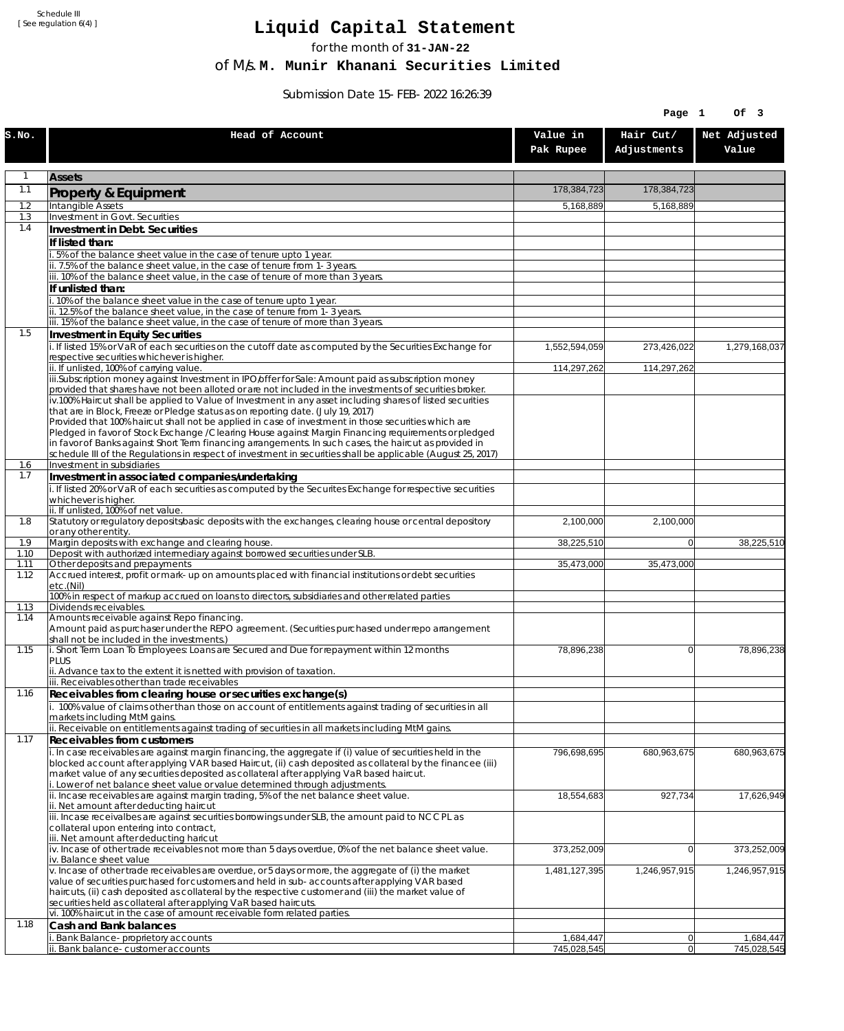Schedule III [ See regulation 6(4) ]

## **Liquid Capital Statement**

for the month of **31-JAN-22**

of M/s. **M. Munir Khanani Securities Limited**

Submission Date 15-FEB-2022 16:26:39

|              |                                                                                                                                                                                                                        |                       | Page 1                   | Of 3                  |
|--------------|------------------------------------------------------------------------------------------------------------------------------------------------------------------------------------------------------------------------|-----------------------|--------------------------|-----------------------|
| s.no.        | Head of Account                                                                                                                                                                                                        | Value in<br>Pak Rupee | Hair Cut/<br>Adjustments | Net Adjusted<br>Value |
| $\mathbf{1}$ | <b>Assets</b>                                                                                                                                                                                                          |                       |                          |                       |
| 1.1          | <b>Property &amp; Equipment</b>                                                                                                                                                                                        | 178,384,723           | 178,384,723              |                       |
| 1.2<br>1.3   | Intangible Assets<br>Investment in Govt. Securities                                                                                                                                                                    | 5,168,889             | 5,168,889                |                       |
| 1.4          | Investment in Debt. Securities                                                                                                                                                                                         |                       |                          |                       |
|              | If listed than:                                                                                                                                                                                                        |                       |                          |                       |
|              | i. 5% of the balance sheet value in the case of tenure upto 1 year.                                                                                                                                                    |                       |                          |                       |
|              | ii. 7.5% of the balance sheet value, in the case of tenure from 1-3 years.<br>iii. 10% of the balance sheet value, in the case of tenure of more than 3 years.                                                         |                       |                          |                       |
|              | If unlisted than:                                                                                                                                                                                                      |                       |                          |                       |
|              | i. 10% of the balance sheet value in the case of tenure upto 1 year.<br>ii. 12.5% of the balance sheet value, in the case of tenure from 1-3 years.                                                                    |                       |                          |                       |
|              | iii. 15% of the balance sheet value, in the case of tenure of more than 3 years.                                                                                                                                       |                       |                          |                       |
| 1.5          | Investment in Equity Securities                                                                                                                                                                                        |                       |                          |                       |
|              | i. If listed 15% or VaR of each securities on the cutoff date as computed by the Securities Exchange for<br>respective securities whichever is higher.                                                                 | 1,552,594,059         | 273,426,022              | 1,279,168,037         |
|              | ii. If unlisted, 100% of carrying value.                                                                                                                                                                               | 114,297,262           | 114,297,262              |                       |
|              | iii.Subscription money against Investment in IPO/offer for Sale: Amount paid as subscription money<br>provided that shares have not been alloted or are not included in the investments of securities broker.          |                       |                          |                       |
|              | iv.100% Haircut shall be applied to Value of Investment in any asset including shares of listed securities                                                                                                             |                       |                          |                       |
|              | that are in Block, Freeze or Pledge status as on reporting date. (July 19, 2017)<br>Provided that 100% haircut shall not be applied in case of investment in those securities which are                                |                       |                          |                       |
|              | Pledged in favor of Stock Exchange / Clearing House against Margin Financing requirements or pledged                                                                                                                   |                       |                          |                       |
|              | in favor of Banks against Short Term financing arrangements. In such cases, the haircut as provided in<br>schedule III of the Regulations in respect of investment in securities shall be applicable (August 25, 2017) |                       |                          |                       |
| 1.6          | Investment in subsidiaries                                                                                                                                                                                             |                       |                          |                       |
| 1.7          | Investment in associated companies/undertaking<br>i. If listed 20% or VaR of each securities as computed by the Securites Exchange for respective securities                                                           |                       |                          |                       |
|              | whichever is higher.                                                                                                                                                                                                   |                       |                          |                       |
|              | ii. If unlisted, 100% of net value.                                                                                                                                                                                    |                       |                          |                       |
| 1.8          | Statutory or regulatory deposits/basic deposits with the exchanges, clearing house or central depository<br>or any other entity.                                                                                       | 2,100,000             | 2,100,000                |                       |
| 1.9          | Margin deposits with exchange and clearing house.                                                                                                                                                                      | 38,225,510            | $\overline{0}$           | 38,225,510            |
| 1.10<br>1.11 | Deposit with authorized intermediary against borrowed securities under SLB.<br>Other deposits and prepayments                                                                                                          | 35,473,000            | 35,473,000               |                       |
| 1.12         | Accrued interest, profit or mark-up on amounts placed with financial institutions or debt securities<br>etc.(Nil)                                                                                                      |                       |                          |                       |
|              | 100% in respect of markup accrued on loans to directors, subsidiaries and other related parties<br>Dividends receivables.                                                                                              |                       |                          |                       |
| 1.13<br>1.14 | Amounts receivable against Repo financing.                                                                                                                                                                             |                       |                          |                       |
|              | Amount paid as purchaser under the REPO agreement. (Securities purchased under repo arrangement<br>shall not be included in the investments.)                                                                          |                       |                          |                       |
| 1.15         | i. Short Term Loan To Employees: Loans are Secured and Due for repayment within 12 months<br><b>PLUS</b>                                                                                                               | 78,896,238            | $\overline{0}$           | 78,896,238            |
|              | ii. Advance tax to the extent it is netted with provision of taxation.                                                                                                                                                 |                       |                          |                       |
| 1.16         | iii. Receivables other than trade receivables<br>Receivables from clearing house or securities exchange(s)                                                                                                             |                       |                          |                       |
|              | i. 100% value of claims other than those on account of entitlements against trading of securities in all                                                                                                               |                       |                          |                       |
|              | markets including MtM gains.                                                                                                                                                                                           |                       |                          |                       |
| 1.17         | ii. Receivable on entitlements against trading of securities in all markets including MtM gains.<br><b>Receivables from customers</b>                                                                                  |                       |                          |                       |
|              | i. In case receivables are against margin financing, the aggregate if (i) value of securities held in the                                                                                                              | 796,698,695           | 680,963,675              | 680,963,675           |
|              | blocked account after applying VAR based Haircut, (ii) cash deposited as collateral by the financee (iii)<br>market value of any securities deposited as collateral after applying VaR based haircut.                  |                       |                          |                       |
|              | i. Lower of net balance sheet value or value determined through adjustments.                                                                                                                                           |                       |                          |                       |
|              | ii. Incase receivables are against margin trading, 5% of the net balance sheet value.                                                                                                                                  | 18,554,683            | 927,734                  | 17,626,949            |
|              | ii. Net amount after deducting haircut<br>iii. Incase receivalbes are against securities borrowings under SLB, the amount paid to NCCPL as                                                                             |                       |                          |                       |
|              | collateral upon entering into contract,                                                                                                                                                                                |                       |                          |                       |
|              | iii. Net amount after deducting haricut<br>$iv.$ Incase of other trade receivables not more than 5 days overdue, 0% of the net balance sheet value.                                                                    | 373,252,009           | 0                        | 373,252,009           |
|              | iv. Balance sheet value                                                                                                                                                                                                |                       |                          |                       |
|              | v. Incase of other trade receivables are overdue, or 5 days or more, the aggregate of (i) the market<br>value of securities purchased for customers and held in sub-accounts after applying VAR based                  | 1,481,127,395         | 1,246,957,915            | 1,246,957,915         |
|              | haircuts, (ii) cash deposited as collateral by the respective customer and (iii) the market value of                                                                                                                   |                       |                          |                       |
|              | securities held as collateral after applying VaR based haircuts.<br>vi. 100% haircut in the case of amount receivable form related parties.                                                                            |                       |                          |                       |
| 1.18         | Cash and Bank balances                                                                                                                                                                                                 |                       |                          |                       |
|              | Bank Balance-proprietory accounts                                                                                                                                                                                      | 1,684,447             | 0                        | 1,684,447             |
|              | ii. Bank balance-customer accounts                                                                                                                                                                                     | 745,028,545           | 0                        | 745,028,545           |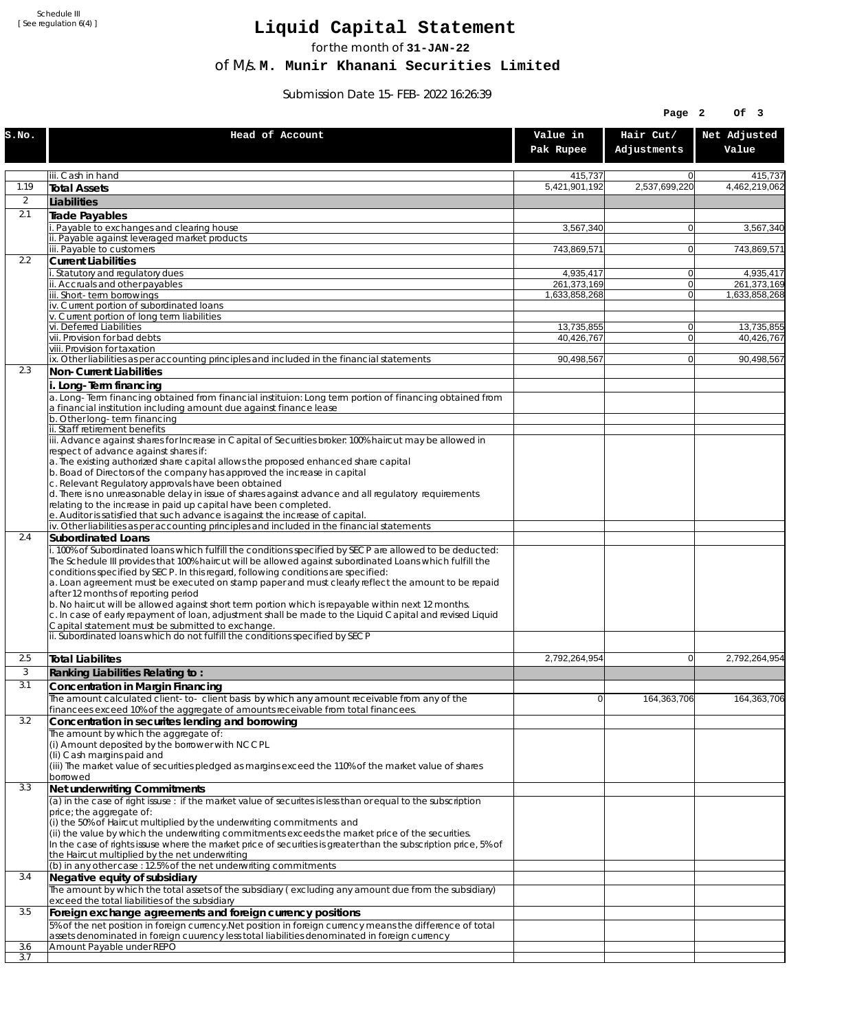Schedule III [ See regulation 6(4) ]

## **Liquid Capital Statement**

for the month of **31-JAN-22**

of M/s. **M. Munir Khanani Securities Limited**

Submission Date 15-FEB-2022 16:26:39

|                |                                                                                                                                                                                                                                                                                                                                                                                                                                                                                                                                                                                                                                                                                                                              |                              | Page 2                     | Of 3                         |
|----------------|------------------------------------------------------------------------------------------------------------------------------------------------------------------------------------------------------------------------------------------------------------------------------------------------------------------------------------------------------------------------------------------------------------------------------------------------------------------------------------------------------------------------------------------------------------------------------------------------------------------------------------------------------------------------------------------------------------------------------|------------------------------|----------------------------|------------------------------|
| S.NO.          | Head of Account                                                                                                                                                                                                                                                                                                                                                                                                                                                                                                                                                                                                                                                                                                              | Value in<br>Pak Rupee        | Hair Cut/<br>Adjustments   | Net Adjusted<br>Value        |
|                | iii. Cash in hand                                                                                                                                                                                                                                                                                                                                                                                                                                                                                                                                                                                                                                                                                                            | 415,737                      | $\Omega$                   | 415,737                      |
| 1.19           | Total Assets                                                                                                                                                                                                                                                                                                                                                                                                                                                                                                                                                                                                                                                                                                                 | 5,421,901,192                | 2,537,699,220              | 4,462,219,062                |
| $\overline{2}$ | Liabilities                                                                                                                                                                                                                                                                                                                                                                                                                                                                                                                                                                                                                                                                                                                  |                              |                            |                              |
| 2.1            | Trade Payables                                                                                                                                                                                                                                                                                                                                                                                                                                                                                                                                                                                                                                                                                                               |                              |                            |                              |
|                | i. Payable to exchanges and clearing house<br>ii. Payable against leveraged market products                                                                                                                                                                                                                                                                                                                                                                                                                                                                                                                                                                                                                                  | 3,567,340                    | $\Omega$                   | 3,567,340                    |
|                | iii. Pavable to customers                                                                                                                                                                                                                                                                                                                                                                                                                                                                                                                                                                                                                                                                                                    | 743,869,571                  | $\overline{0}$             | 743,869,571                  |
| 2.2            | <b>Current Liabilities</b>                                                                                                                                                                                                                                                                                                                                                                                                                                                                                                                                                                                                                                                                                                   |                              |                            |                              |
|                | i. Statutory and regulatory dues                                                                                                                                                                                                                                                                                                                                                                                                                                                                                                                                                                                                                                                                                             | 4,935,417                    | 0                          | 4,935,417                    |
|                | ii. Accruals and other payables<br>iii. Short-term borrowings                                                                                                                                                                                                                                                                                                                                                                                                                                                                                                                                                                                                                                                                | 261,373,169<br>1,633,858,268 | $\overline{0}$<br>$\Omega$ | 261,373,169<br>1.633.858.268 |
|                | iv. Current portion of subordinated loans                                                                                                                                                                                                                                                                                                                                                                                                                                                                                                                                                                                                                                                                                    |                              |                            |                              |
|                | v. Current portion of long term liabilities                                                                                                                                                                                                                                                                                                                                                                                                                                                                                                                                                                                                                                                                                  |                              |                            |                              |
|                | vi. Deferred Liabilities<br>vii. Provision for bad debts                                                                                                                                                                                                                                                                                                                                                                                                                                                                                                                                                                                                                                                                     | 13,735,855                   | 0 <br>$\overline{0}$       | 13,735,855<br>40,426,767     |
|                | viii. Provision for taxation                                                                                                                                                                                                                                                                                                                                                                                                                                                                                                                                                                                                                                                                                                 | 40,426,767                   |                            |                              |
|                | ix. Other liabilities as per accounting principles and included in the financial statements                                                                                                                                                                                                                                                                                                                                                                                                                                                                                                                                                                                                                                  | 90,498,567                   | $\overline{0}$             | 90,498,567                   |
| 2.3            | Non-Current Liabilities<br>i. Long-Term financing                                                                                                                                                                                                                                                                                                                                                                                                                                                                                                                                                                                                                                                                            |                              |                            |                              |
|                | a. Long-Term financing obtained from financial instituion: Long term portion of financing obtained from<br>a financial institution including amount due against finance lease                                                                                                                                                                                                                                                                                                                                                                                                                                                                                                                                                |                              |                            |                              |
|                | b. Other long-term financing                                                                                                                                                                                                                                                                                                                                                                                                                                                                                                                                                                                                                                                                                                 |                              |                            |                              |
|                | ii. Staff retirement benefits<br>iii. Advance against shares for Increase in Capital of Securities broker: 100% haircut may be allowed in                                                                                                                                                                                                                                                                                                                                                                                                                                                                                                                                                                                    |                              |                            |                              |
|                | respect of advance against shares if:                                                                                                                                                                                                                                                                                                                                                                                                                                                                                                                                                                                                                                                                                        |                              |                            |                              |
|                | a. The existing authorized share capital allows the proposed enhanced share capital                                                                                                                                                                                                                                                                                                                                                                                                                                                                                                                                                                                                                                          |                              |                            |                              |
|                | b. Boad of Directors of the company has approved the increase in capital<br>c. Relevant Regulatory approvals have been obtained                                                                                                                                                                                                                                                                                                                                                                                                                                                                                                                                                                                              |                              |                            |                              |
|                | d. There is no unreasonable delay in issue of shares against advance and all regulatory requirements                                                                                                                                                                                                                                                                                                                                                                                                                                                                                                                                                                                                                         |                              |                            |                              |
|                | relating to the increase in paid up capital have been completed.                                                                                                                                                                                                                                                                                                                                                                                                                                                                                                                                                                                                                                                             |                              |                            |                              |
|                | e. Auditor is satisfied that such advance is against the increase of capital.<br>iv. Other liabilities as per accounting principles and included in the financial statements                                                                                                                                                                                                                                                                                                                                                                                                                                                                                                                                                 |                              |                            |                              |
| 2.4            | Subordinated Loans                                                                                                                                                                                                                                                                                                                                                                                                                                                                                                                                                                                                                                                                                                           |                              |                            |                              |
|                | i. 100% of Subordinated loans which fulfill the conditions specified by SECP are allowed to be deducted:<br>The Schedule III provides that 100% haircut will be allowed against subordinated Loans which fulfill the<br>conditions specified by SECP. In this regard, following conditions are specified:<br>a. Loan agreement must be executed on stamp paper and must clearly reflect the amount to be repaid<br>after 12 months of reporting period<br>b. No haircut will be allowed against short term portion which is repayable within next 12 months.<br>c. In case of early repayment of loan, adjustment shall be made to the Liquid Capital and revised Liquid<br>Capital statement must be submitted to exchange. |                              |                            |                              |
|                | ii. Subordinated loans which do not fulfill the conditions specified by SECP                                                                                                                                                                                                                                                                                                                                                                                                                                                                                                                                                                                                                                                 |                              |                            |                              |
| 2.5            | Total Liabilites                                                                                                                                                                                                                                                                                                                                                                                                                                                                                                                                                                                                                                                                                                             | 2,792,264,954                | 0                          | 2,792,264,954                |
| 3              | Ranking Liabilities Relating to:                                                                                                                                                                                                                                                                                                                                                                                                                                                                                                                                                                                                                                                                                             |                              |                            |                              |
| 3.1            | Concentration in Margin Financing                                                                                                                                                                                                                                                                                                                                                                                                                                                                                                                                                                                                                                                                                            |                              |                            |                              |
|                | The amount calculated client-to- client basis by which any amount receivable from any of the                                                                                                                                                                                                                                                                                                                                                                                                                                                                                                                                                                                                                                 | $\Omega$                     | 164,363,706                | 164,363,706                  |
|                | financees exceed 10% of the aggregate of amounts receivable from total financees.                                                                                                                                                                                                                                                                                                                                                                                                                                                                                                                                                                                                                                            |                              |                            |                              |
| 3.2            | Concentration in securites lending and borrowing                                                                                                                                                                                                                                                                                                                                                                                                                                                                                                                                                                                                                                                                             |                              |                            |                              |
|                | The amount by which the aggregate of:<br>(i) Amount deposited by the borrower with NCCPL                                                                                                                                                                                                                                                                                                                                                                                                                                                                                                                                                                                                                                     |                              |                            |                              |
|                | (Ii) Cash margins paid and                                                                                                                                                                                                                                                                                                                                                                                                                                                                                                                                                                                                                                                                                                   |                              |                            |                              |
|                | (iii) The market value of securities pledged as margins exceed the 110% of the market value of shares                                                                                                                                                                                                                                                                                                                                                                                                                                                                                                                                                                                                                        |                              |                            |                              |
| 3.3            | borrowed                                                                                                                                                                                                                                                                                                                                                                                                                                                                                                                                                                                                                                                                                                                     |                              |                            |                              |
|                | Net underwriting Commitments<br>(a) in the case of right issuse : if the market value of securites is less than or equal to the subscription                                                                                                                                                                                                                                                                                                                                                                                                                                                                                                                                                                                 |                              |                            |                              |
|                | price; the aggregate of:<br>(i) the 50% of Haircut multiplied by the underwriting commitments and<br>(ii) the value by which the underwriting commitments exceeds the market price of the securities.<br>In the case of rights issuse where the market price of securities is greater than the subscription price, 5% of<br>the Haircut multiplied by the net underwriting                                                                                                                                                                                                                                                                                                                                                   |                              |                            |                              |
|                | (b) in any other case : 12.5% of the net underwriting commitments                                                                                                                                                                                                                                                                                                                                                                                                                                                                                                                                                                                                                                                            |                              |                            |                              |
| 3.4            | Negative equity of subsidiary<br>The amount by which the total assets of the subsidiary (excluding any amount due from the subsidiary)                                                                                                                                                                                                                                                                                                                                                                                                                                                                                                                                                                                       |                              |                            |                              |
|                | exceed the total liabilities of the subsidiary                                                                                                                                                                                                                                                                                                                                                                                                                                                                                                                                                                                                                                                                               |                              |                            |                              |
| 3.5            | Foreign exchange agreements and foreign currency positions                                                                                                                                                                                                                                                                                                                                                                                                                                                                                                                                                                                                                                                                   |                              |                            |                              |
|                | 5% of the net position in foreign currency. Net position in foreign currency means the difference of total<br>assets denominated in foreign cuurency less total liabilities denominated in foreign currency                                                                                                                                                                                                                                                                                                                                                                                                                                                                                                                  |                              |                            |                              |
| 3.6            | Amount Payable under REPO                                                                                                                                                                                                                                                                                                                                                                                                                                                                                                                                                                                                                                                                                                    |                              |                            |                              |
| 3.7            |                                                                                                                                                                                                                                                                                                                                                                                                                                                                                                                                                                                                                                                                                                                              |                              |                            |                              |